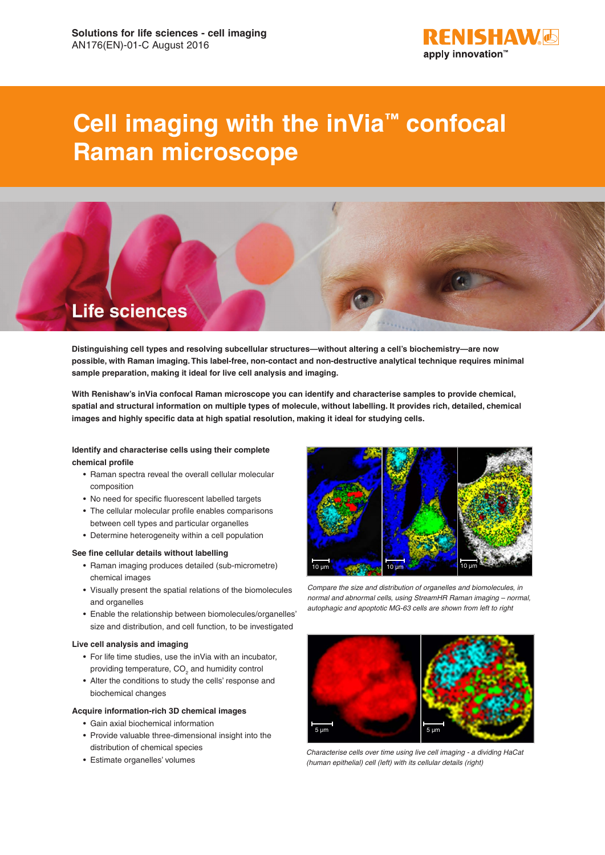

# **Cell imaging with the inVia™ confocal Raman microscope**



**Distinguishing cell types and resolving subcellular structures—without altering a cell's biochemistry—are now possible, with Raman imaging. This label-free, non-contact and non-destructive analytical technique requires minimal sample preparation, making it ideal for live cell analysis and imaging.** 

**With Renishaw's inVia confocal Raman microscope you can identify and characterise samples to provide chemical, spatial and structural information on multiple types of molecule, without labelling. It provides rich, detailed, chemical images and highly specific data at high spatial resolution, making it ideal for studying cells.**

## **Identify and characterise cells using their complete chemical profile**

- Raman spectra reveal the overall cellular molecular composition
- No need for specific fluorescent labelled targets
- The cellular molecular profile enables comparisons between cell types and particular organelles
- Determine heterogeneity within a cell population

#### **See fine cellular details without labelling**

- Raman imaging produces detailed (sub-micrometre) chemical images
- Visually present the spatial relations of the biomolecules and organelles
- Enable the relationship between biomolecules/organelles' size and distribution, and cell function, to be investigated

#### **Live cell analysis and imaging**

- For life time studies, use the inVia with an incubator, providing temperature,  $CO_{2}$  and humidity control
- Alter the conditions to study the cells' response and biochemical changes
- **Acquire information-rich 3D chemical images**
	- Gain axial biochemical information
	- Provide valuable three-dimensional insight into the distribution of chemical species
	- Estimate organelles' volumes



*Compare the size and distribution of organelles and biomolecules, in normal and abnormal cells, using StreamHR Raman imaging – normal, autophagic and apoptotic MG-63 cells are shown from left to right* 



*Characterise cells over time using live cell imaging - a dividing HaCat (human epithelial) cell (left) with its cellular details (right)*